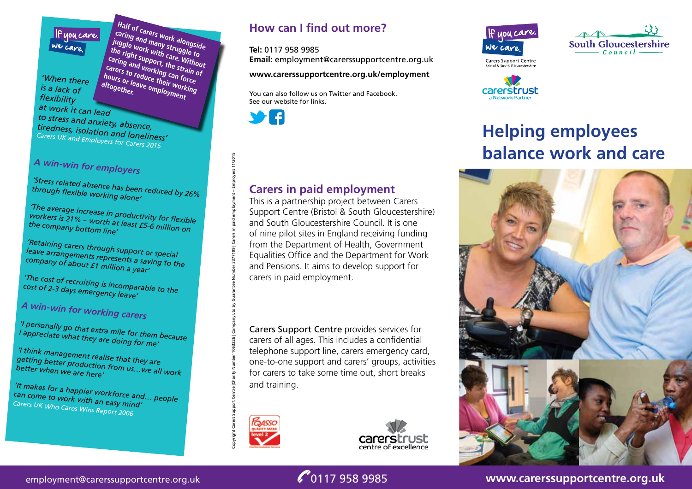#### If you care, We care

*'When there is a lack of flexibility at work it can lead* 

**Half of carers work alongside caring and many struggle to juggle work with care. Without the right support, the strain of Caring and working can force**<br> **carers to reduce their working**<br> **altogether**<br> **altogether**<br> **correctly Carers to reduce their strain c**<br>hours to reduce their working<br>altogether. <sup>altogether</sup> **hours or leave employment** 

*to stress and anxiety, absence, tiredness, isolation and loneliness' Carers UK and Employers for Carers 2015* 

# *A win-win for employers*

*'Stress related absence has been reduced by 26% through flexible working alone'* 

*'The average increase in productivity for flexible workers is 21% – worth at least £5-6 million on the company bottom line'*

*'Retaining carers through support or special leave arrangements represents a saving to the company of about £1 million a year'*

*'The cost of recruiting is incomparable to the cost of 2-3 days emergency leave'*

*A win-win for working carers*

*'I personally go that extra mile for them because I appreciate what they are doing for me'*

*'I think management realise that they are getting better production from us…we all work better when we are here'*

*'It makes for a happier workforce and… people can come to work with an easy mind' Carers UK Who Cares Wins Report 2006*

### **How can I find out more?**

#### **Tel:** 0117 958 9985

**Email:** employment@carerssupportcentre.org.uk

#### **www.carerssupportcentre.org.uk/employment**

You can also follow us on Twitter and Facebook. See our website for links.



#### **Carers in paid employment**

This is a partnership project between Carers Support Centre (Bristol & South Gloucestershire) and South Gloucestershire Council. It is one of nine pilot sites in England receiving funding from the Department of Health, Government Equalities Office and the Department for Work and Pensions. It aims to develop support for carers in paid employment.

Carers Support Centre provides services for carers of all ages. This includes a confidential telephone support line, carers emergency card, one-to-one support and carers' groups, activities for carers to take some time out, short breaks and training.



Copyright Carers Support Centre |Charity Number 1063226 | Company Ltd by Guarantee Number 3377199 | Carers in paid employment – Employers 11/2015







**Carers Support Centre** Carcis Support Cerrer<br>Bristol & South Gloucestershir



# **Helping employees balance work and care**



employment@carerssupportcentre.org.uk **6.117 958 9985** www.carerssupportcentre.org.uk